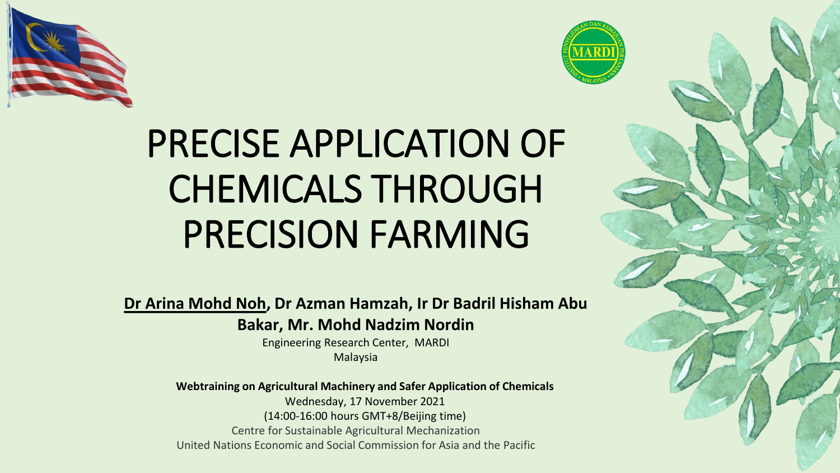



# PRECISE APPLICATION OF CHEMICALS THROUGH PRECISION FARMING

**Dr Arina Mohd Noh, Dr Azman Hamzah, Ir Dr Badril Hisham Abu Bakar, Mr. Mohd Nadzim Nordin**

> Engineering Research Center, MARDI Malaysia

**Webtraining on Agricultural Machinery and Safer Application of Chemicals**  Wednesday, 17 November 2021 (14:00-16:00 hours GMT+8/Beijing time) Centre for Sustainable Agricultural Mechanization United Nations Economic and Social Commission for Asia and the Pacific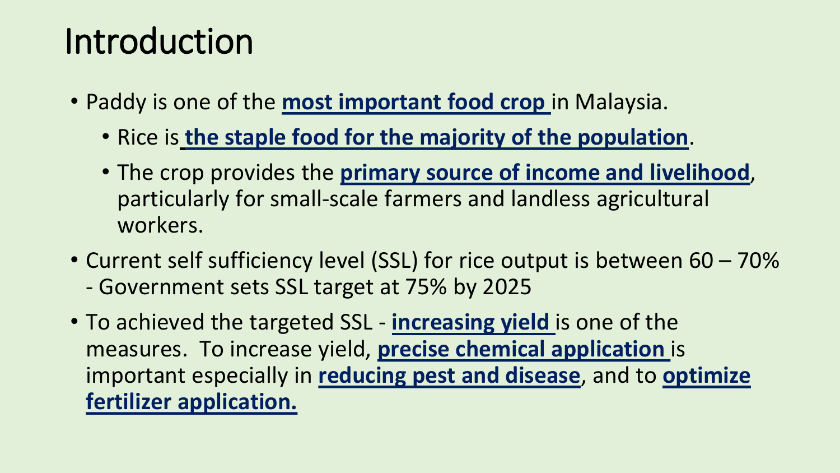## Introduction

- Paddy is one of the **most important food crop** in Malaysia.
	- Rice is **the staple food for the majority of the population**.
	- The crop provides the **primary source of income and livelihood**, particularly for small-scale farmers and landless agricultural workers.
- Current self sufficiency level (SSL) for rice output is between 60 70% - Government sets SSL target at 75% by 2025
- To achieved the targeted SSL **increasing yield** is one of the measures. To increase yield, **precise chemical application** is important especially in **reducing pest and disease**, and to **optimize fertilizer application.**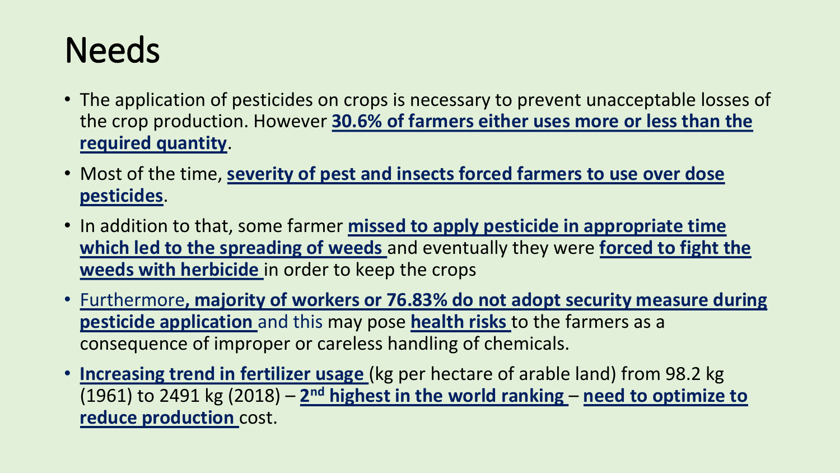## **Needs**

- The application of pesticides on crops is necessary to prevent unacceptable losses of the crop production. However **30.6% of farmers either uses more or less than the required quantity**.
- Most of the time, **severity of pest and insects forced farmers to use over dose pesticides**.
- In addition to that, some farmer **missed to apply pesticide in appropriate time which led to the spreading of weeds** and eventually they were **forced to fight the weeds with herbicide** in order to keep the crops
- Furthermore**, majority of workers or 76.83% do not adopt security measure during pesticide application** and this may pose **health risks** to the farmers as a consequence of improper or careless handling of chemicals.
- **Increasing trend in fertilizer usage** (kg per hectare of arable land) from 98.2 kg (1961) to 2491 kg (2018) – 2<sup>nd</sup> highest in the world ranking – need to optimize to **reduce production** cost.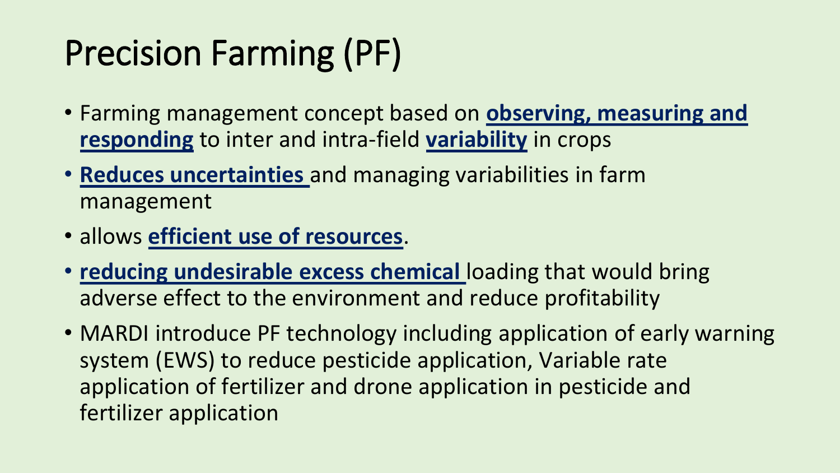## Precision Farming (PF)

- Farming management concept based on **observing, measuring and responding** to inter and intra-field **variability** in crops
- **Reduces uncertainties** and managing variabilities in farm management
- allows **efficient use of resources**.
- **reducing undesirable excess chemical** loading that would bring adverse effect to the environment and reduce profitability
- MARDI introduce PF technology including application of early warning system (EWS) to reduce pesticide application, Variable rate application of fertilizer and drone application in pesticide and fertilizer application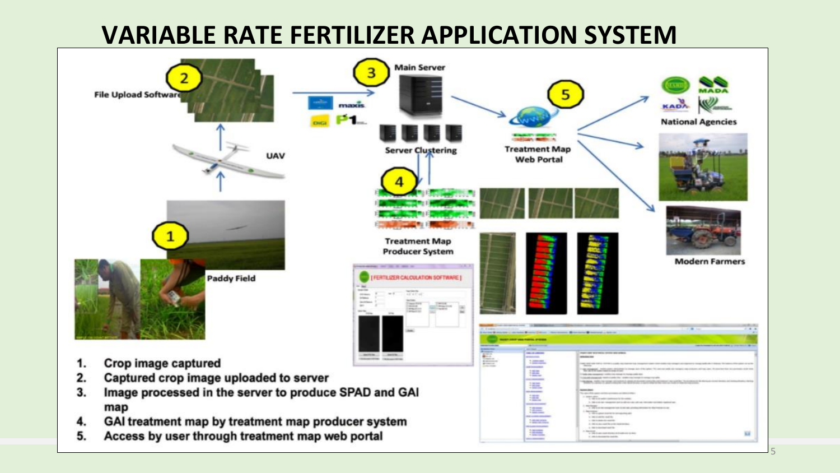#### **VARIABLE RATE FERTILIZER APPLICATION SYSTEM Main Server** MADA **File Upload Softwar** KADA maxis **National Agencies Server Clustering Treatment Map UAV Web Portal 11 M Treatment Map Producer System Modern Farmers Paddy Field TILIZER CALCULATION SOFTWARE!** and it Crop image captured  $1 - 1$ 1. E E E E to renor. 2. Captured crop image uploaded to server NUMBER FOR CORP. AND RESIDENCE AND ADDRESS. 3. Image processed in the server to produce SPAD and GAI map GAI treatment map by treatment map producer system 4. **Constant HERE** 5. Access by user through treatment map web portal 肩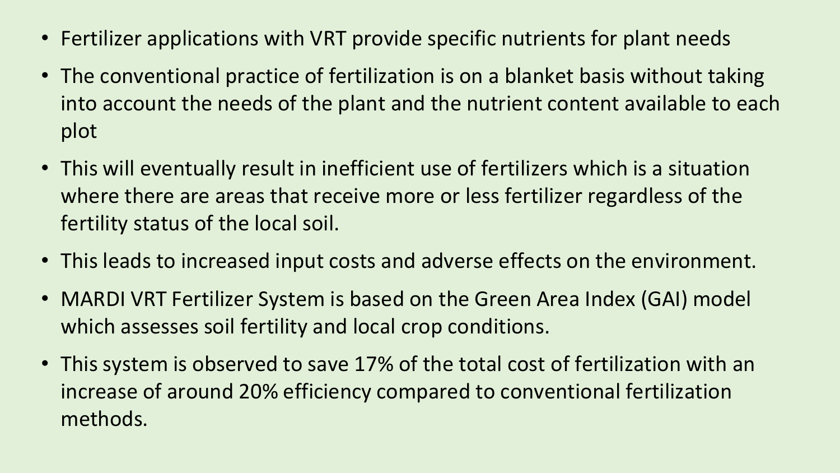- Fertilizer applications with VRT provide specific nutrients for plant needs
- The conventional practice of fertilization is on a blanket basis without taking into account the needs of the plant and the nutrient content available to each plot
- This will eventually result in inefficient use of fertilizers which is a situation where there are areas that receive more or less fertilizer regardless of the fertility status of the local soil.
- This leads to increased input costs and adverse effects on the environment.
- MARDI VRT Fertilizer System is based on the Green Area Index (GAI) model which assesses soil fertility and local crop conditions.
- This system is observed to save 17% of the total cost of fertilization with an increase of around 20% efficiency compared to conventional fertilization methods.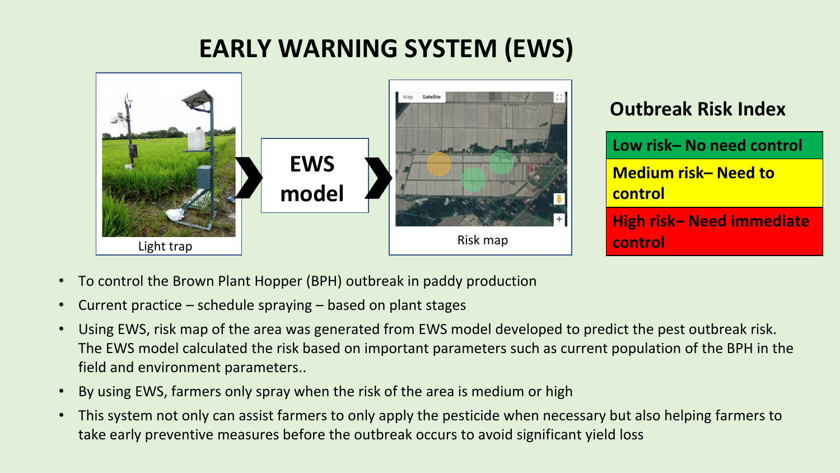### **EARLY WARNING SYSTEM (EWS)**



### **Outbreak Risk Index**

| Low risk-No need control              |  |
|---------------------------------------|--|
| Medium risk-Need to<br><b>Control</b> |  |
| High risk-Need immediate<br>control   |  |

- To control the Brown Plant Hopper (BPH) outbreak in paddy production
- Current practice schedule spraying based on plant stages
- Using EWS, risk map of the area was generated from EWS model developed to predict the pest outbreak risk. The EWS model calculated the risk based on important parameters such as current population of the BPH in the field and environment parameters..
- By using EWS, farmers only spray when the risk of the area is medium or high
- This system not only can assist farmers to only apply the pesticide when necessary but also helping farmers to take early preventive measures before the outbreak occurs to avoid significant yield loss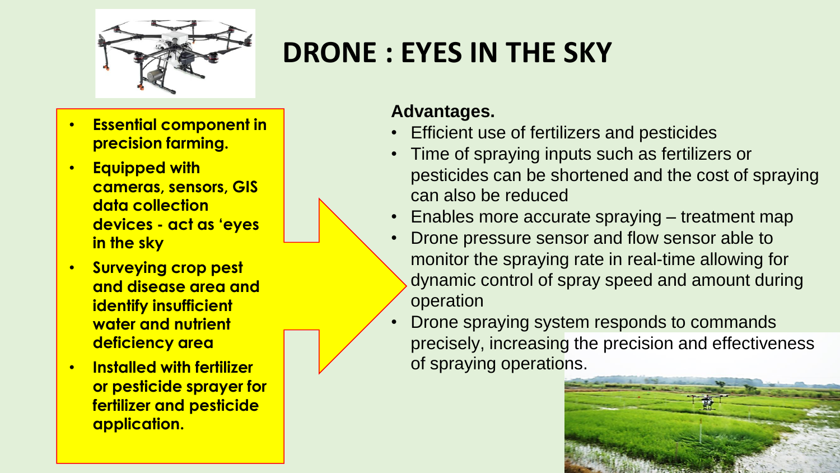

### **DRONE : EYES IN THE SKY**

- **Essential component in precision farming.**
- **Equipped with cameras, sensors, GIS data collection devices - act as 'eyes in the sky**
- **Surveying crop pest and disease area and identify insufficient water and nutrient deficiency area**
- **Installed with fertilizer or pesticide sprayer for fertilizer and pesticide application.**

#### **Advantages.**

- Efficient use of fertilizers and pesticides
- Time of spraying inputs such as fertilizers or pesticides can be shortened and the cost of spraying can also be reduced
- Enables more accurate spraying treatment map
- Drone pressure sensor and flow sensor able to monitor the spraying rate in real-time allowing for dynamic control of spray speed and amount during operation
- Drone spraying system responds to commands precisely, increasing the precision and effectiveness of spraying operations.

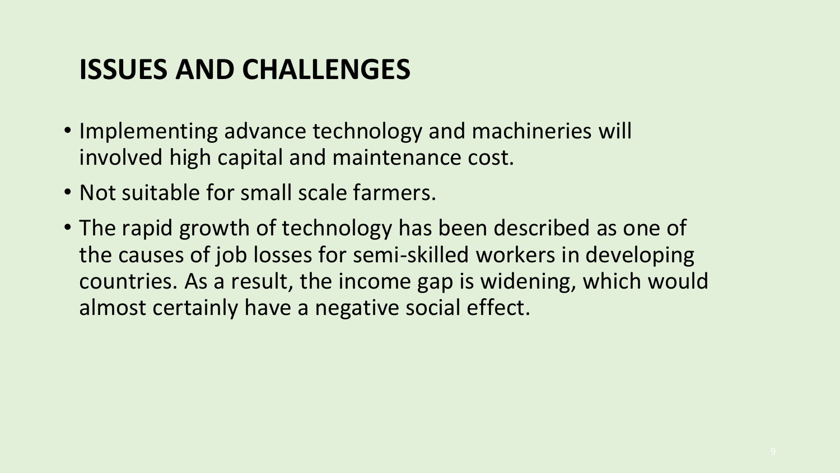### **ISSUES AND CHALLENGES**

- Implementing advance technology and machineries will involved high capital and maintenance cost.
- Not suitable for small scale farmers.
- The rapid growth of technology has been described as one of the causes of job losses for semi-skilled workers in developing countries. As a result, the income gap is widening, which would almost certainly have a negative social effect.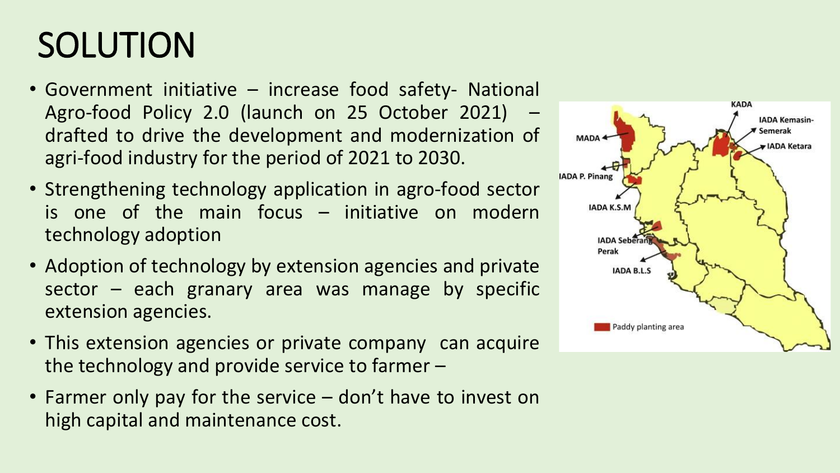## SOLUTION

- Government initiative increase food safety- National Agro-food Policy 2.0 (launch on 25 October 2021) drafted to drive the development and modernization of agri-food industry for the period of 2021 to 2030.
- Strengthening technology application in agro-food sector is one of the main focus  $-$  initiative on modern technology adoption
- Adoption of technology by extension agencies and private  $sector - each granary area was manage by specific$ extension agencies.
- This extension agencies or private company can acquire the technology and provide service to farmer –
- Farmer only pay for the service don't have to invest on high capital and maintenance cost.

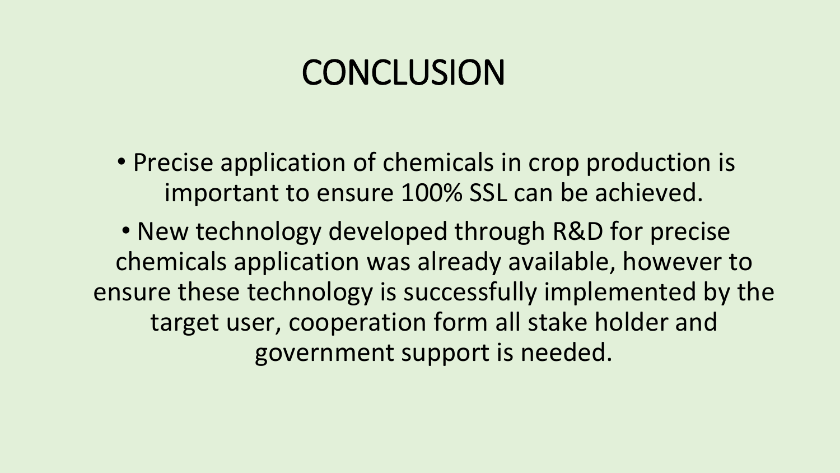### **CONCLUSION**

• Precise application of chemicals in crop production is important to ensure 100% SSL can be achieved.

• New technology developed through R&D for precise chemicals application was already available, however to ensure these technology is successfully implemented by the target user, cooperation form all stake holder and government support is needed.